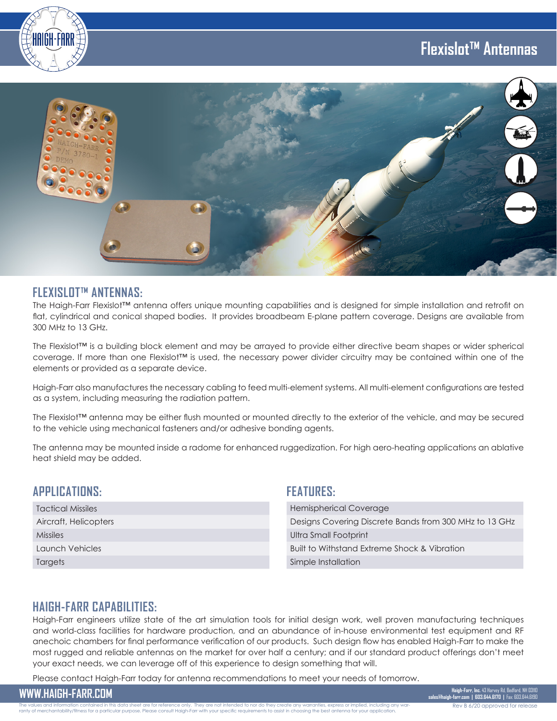# **Flexislot™ Antennas**





#### **FLEXISLOT™ ANTENNAS:**

The Haigh-Farr Flexislot™ antenna offers unique mounting capabilities and is designed for simple installation and retrofit on flat, cylindrical and conical shaped bodies. It provides broadbeam E-plane pattern coverage. Designs are available from 300 MHz to 13 GHz.

The Flexislot™ is a building block element and may be arrayed to provide either directive beam shapes or wider spherical coverage. If more than one Flexislot™ is used, the necessary power divider circuitry may be contained within one of the elements or provided as a separate device.

Haigh-Farr also manufactures the necessary cabling to feed multi-element systems. All multi-element configurations are tested as a system, including measuring the radiation pattern.

The Flexislot™ antenna may be either flush mounted or mounted directly to the exterior of the vehicle, and may be secured to the vehicle using mechanical fasteners and/or adhesive bonding agents.

The antenna may be mounted inside a radome for enhanced ruggedization. For high aero-heating applications an ablative heat shield may be added.

### **APPLICATIONS:**

|  | <b>Tactical Missiles</b> |
|--|--------------------------|
|  | Aircraft, Helicopters    |
|  | <b>Missiles</b>          |
|  | Launch Vehicles          |
|  | Targets                  |

#### **FEATURES:**

| <b>Hemispherical Coverage</b>                          |  |
|--------------------------------------------------------|--|
| Designs Covering Discrete Bands from 300 MHz to 13 GHz |  |
| Ultra Small Footprint                                  |  |
| Built to Withstand Extreme Shock & Vibration           |  |
| Simple Installation                                    |  |
|                                                        |  |

### **HAIGH-FARR CAPABILITIES:**

Haigh-Farr engineers utilize state of the art simulation tools for initial design work, well proven manufacturing techniques and world-class facilities for hardware production, and an abundance of in-house environmental test equipment and RF anechoic chambers for final performance verification of our products. Such design flow has enabled Haigh-Farr to make the most rugged and reliable antennas on the market for over half a century; and if our standard product offerings don't meet your exact needs, we can leverage off of this experience to design something that will.

Please contact Haigh-Farr today for antenna recommendations to meet your needs of tomorrow.

**WWW.HAIGH-FARR.COM Haigh-Farr, Inc.** 43 Harvey Rd, Bedford, NH 03110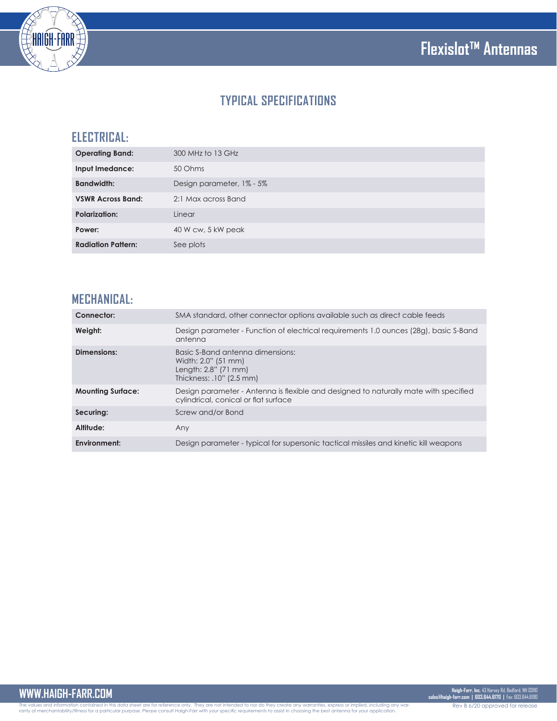

# **TYPICAL SPECIFICATIONS**

## **ELECTRICAL:**

| <b>Operating Band:</b>    | 300 MHz to 13 GHz         |
|---------------------------|---------------------------|
| Input Imedance:           | 50 Ohms                   |
| <b>Bandwidth:</b>         | Design parameter, 1% - 5% |
| <b>VSWR Across Band:</b>  | 2:1 Max across Band       |
| <b>Polarization:</b>      | Linear                    |
| Power:                    | 40 W cw, 5 kW peak        |
| <b>Radiation Pattern:</b> | See plots                 |

## **MECHANICAL:**

| Connector:               | SMA standard, other connector options available such as direct cable feeds                                                   |
|--------------------------|------------------------------------------------------------------------------------------------------------------------------|
| Weight:                  | Design parameter - Function of electrical requirements 1.0 ounces (28g), basic S-Band<br>antenna                             |
| Dimensions:              | Basic S-Band antenna dimensions:<br>Width: 2.0" (51 mm)<br>Length: 2.8" (71 mm)<br>Thickness: .10" (2.5 mm)                  |
| <b>Mounting Surface:</b> | Design parameter - Antenna is flexible and designed to naturally mate with specified<br>cylindrical, conical or flat surface |
| Securing:                | Screw and/or Bond                                                                                                            |
| Altitude:                | Any                                                                                                                          |
| Environment:             | Design parameter - typical for supersonic tactical missiles and kinetic kill weapons                                         |